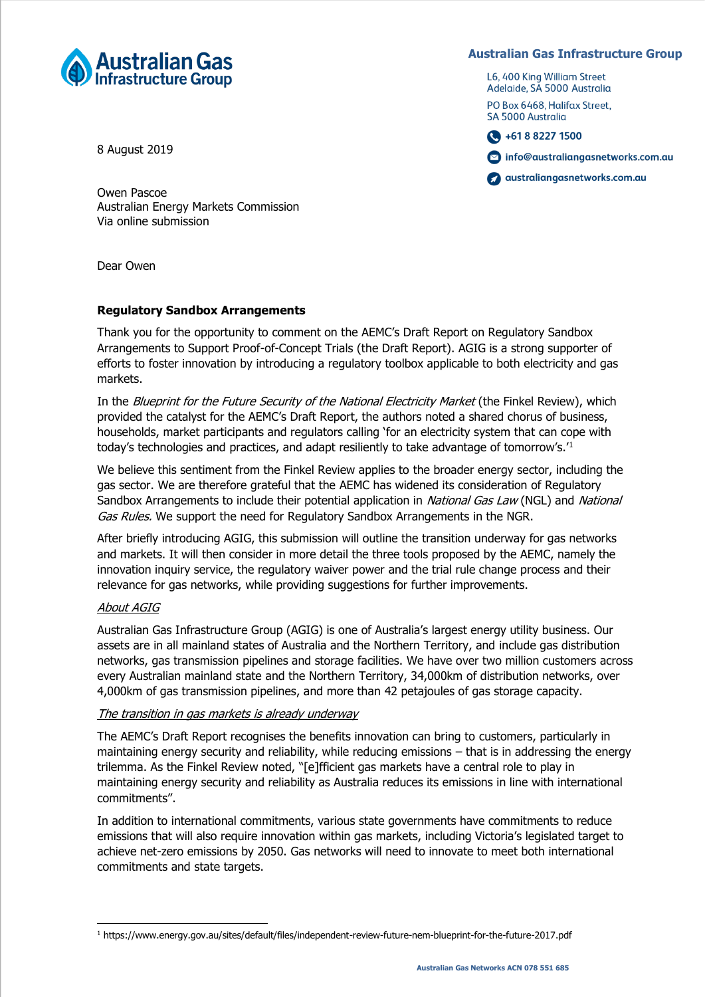

**Australian Gas Infrastructure Group**

L6, 400 King William Street Adelaide, SA 5000 Australia PO Box 6468. Halifax Street. SA 5000 Australia

 $\bigodot$  +61 8 8227 1500

nfo@australiangasnetworks.com.au

com.au australiangasnetworks.com.au

8 August 2019

Owen Pascoe Australian Energy Markets Commission Via online submission

Dear Owen

# **Regulatory Sandbox Arrangements**

Thank you for the opportunity to comment on the AEMC's Draft Report on Regulatory Sandbox Arrangements to Support Proof-of-Concept Trials (the Draft Report). AGIG is a strong supporter of efforts to foster innovation by introducing a regulatory toolbox applicable to both electricity and gas markets.

In the *Blueprint for the Future Security of the National Electricity Market* (the Finkel Review), which provided the catalyst for the AEMC's Draft Report, the authors noted a shared chorus of business, households, market participants and regulators calling 'for an electricity system that can cope with today's technologies and practices, and adapt resiliently to take advantage of tomorrow's.'<sup>1</sup>

We believe this sentiment from the Finkel Review applies to the broader energy sector, including the gas sector. We are therefore grateful that the AEMC has widened its consideration of Regulatory Sandbox Arrangements to include their potential application in National Gas Law (NGL) and National Gas Rules. We support the need for Regulatory Sandbox Arrangements in the NGR.

After briefly introducing AGIG, this submission will outline the transition underway for gas networks and markets. It will then consider in more detail the three tools proposed by the AEMC, namely the innovation inquiry service, the regulatory waiver power and the trial rule change process and their relevance for gas networks, while providing suggestions for further improvements.

## About AGIG

Australian Gas Infrastructure Group (AGIG) is one of Australia's largest energy utility business. Our assets are in all mainland states of Australia and the Northern Territory, and include gas distribution networks, gas transmission pipelines and storage facilities. We have over two million customers across every Australian mainland state and the Northern Territory, 34,000km of distribution networks, over 4,000km of gas transmission pipelines, and more than 42 petajoules of gas storage capacity.

## The transition in gas markets is already underway

The AEMC's Draft Report recognises the benefits innovation can bring to customers, particularly in maintaining energy security and reliability, while reducing emissions – that is in addressing the energy trilemma. As the Finkel Review noted, "[e]fficient gas markets have a central role to play in maintaining energy security and reliability as Australia reduces its emissions in line with international commitments".

In addition to international commitments, various state governments have commitments to reduce emissions that will also require innovation within gas markets, including Victoria's legislated target to achieve net-zero emissions by 2050. Gas networks will need to innovate to meet both international commitments and state targets.

<sup>1</sup> https://www.energy.gov.au/sites/default/files/independent-review-future-nem-blueprint-for-the-future-2017.pdf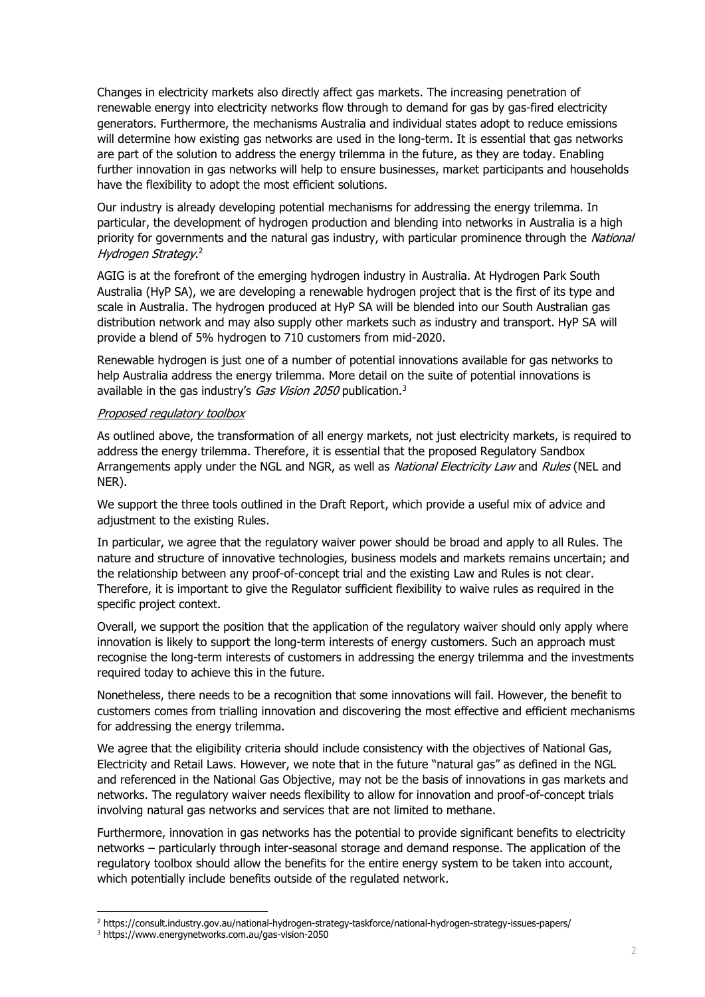Changes in electricity markets also directly affect gas markets. The increasing penetration of renewable energy into electricity networks flow through to demand for gas by gas-fired electricity generators. Furthermore, the mechanisms Australia and individual states adopt to reduce emissions will determine how existing gas networks are used in the long-term. It is essential that gas networks are part of the solution to address the energy trilemma in the future, as they are today. Enabling further innovation in gas networks will help to ensure businesses, market participants and households have the flexibility to adopt the most efficient solutions.

Our industry is already developing potential mechanisms for addressing the energy trilemma. In particular, the development of hydrogen production and blending into networks in Australia is a high priority for governments and the natural gas industry, with particular prominence through the National Hydrogen Strategy. 2

AGIG is at the forefront of the emerging hydrogen industry in Australia. At Hydrogen Park South Australia (HyP SA), we are developing a renewable hydrogen project that is the first of its type and scale in Australia. The hydrogen produced at HyP SA will be blended into our South Australian gas distribution network and may also supply other markets such as industry and transport. HyP SA will provide a blend of 5% hydrogen to 710 customers from mid-2020.

Renewable hydrogen is just one of a number of potential innovations available for gas networks to help Australia address the energy trilemma. More detail on the suite of potential innovations is available in the gas industry's Gas Vision 2050 publication.<sup>3</sup>

### Proposed regulatory toolbox

As outlined above, the transformation of all energy markets, not just electricity markets, is required to address the energy trilemma. Therefore, it is essential that the proposed Regulatory Sandbox Arrangements apply under the NGL and NGR, as well as National Electricity Law and Rules (NEL and NER).

We support the three tools outlined in the Draft Report, which provide a useful mix of advice and adjustment to the existing Rules.

In particular, we agree that the regulatory waiver power should be broad and apply to all Rules. The nature and structure of innovative technologies, business models and markets remains uncertain; and the relationship between any proof-of-concept trial and the existing Law and Rules is not clear. Therefore, it is important to give the Regulator sufficient flexibility to waive rules as required in the specific project context.

Overall, we support the position that the application of the regulatory waiver should only apply where innovation is likely to support the long-term interests of energy customers. Such an approach must recognise the long-term interests of customers in addressing the energy trilemma and the investments required today to achieve this in the future.

Nonetheless, there needs to be a recognition that some innovations will fail. However, the benefit to customers comes from trialling innovation and discovering the most effective and efficient mechanisms for addressing the energy trilemma.

We agree that the eligibility criteria should include consistency with the objectives of National Gas, Electricity and Retail Laws. However, we note that in the future "natural gas" as defined in the NGL and referenced in the National Gas Objective, may not be the basis of innovations in gas markets and networks. The regulatory waiver needs flexibility to allow for innovation and proof-of-concept trials involving natural gas networks and services that are not limited to methane.

Furthermore, innovation in gas networks has the potential to provide significant benefits to electricity networks – particularly through inter-seasonal storage and demand response. The application of the regulatory toolbox should allow the benefits for the entire energy system to be taken into account, which potentially include benefits outside of the regulated network.

-

<sup>2</sup> https://consult.industry.gov.au/national-hydrogen-strategy-taskforce/national-hydrogen-strategy-issues-papers/

<sup>3</sup> https://www.energynetworks.com.au/gas-vision-2050